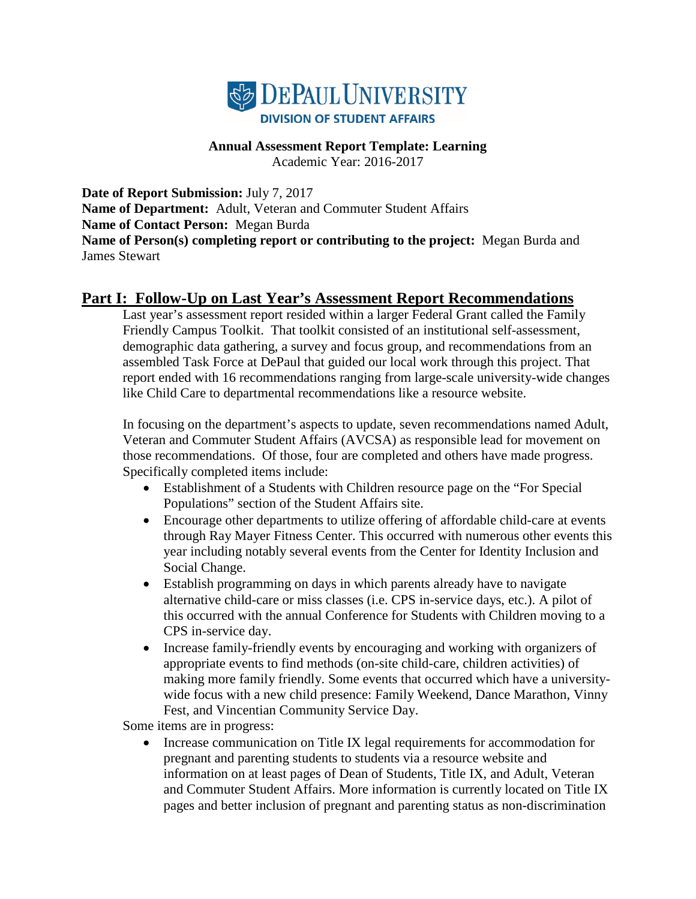

# **Annual Assessment Report Template: Learning**

Academic Year: 2016-2017

**Date of Report Submission:** July 7, 2017 **Name of Department:** Adult, Veteran and Commuter Student Affairs **Name of Contact Person:** Megan Burda **Name of Person(s) completing report or contributing to the project:** Megan Burda and James Stewart

## **Part I: Follow-Up on Last Year's Assessment Report Recommendations**

Last year's assessment report resided within a larger Federal Grant called the Family Friendly Campus Toolkit. That toolkit consisted of an institutional self-assessment, demographic data gathering, a survey and focus group, and recommendations from an assembled Task Force at DePaul that guided our local work through this project. That report ended with 16 recommendations ranging from large-scale university-wide changes like Child Care to departmental recommendations like a resource website.

In focusing on the department's aspects to update, seven recommendations named Adult, Veteran and Commuter Student Affairs (AVCSA) as responsible lead for movement on those recommendations. Of those, four are completed and others have made progress. Specifically completed items include:

- Establishment of a Students with Children resource page on the "For Special Populations" section of the Student Affairs site.
- Encourage other departments to utilize offering of affordable child-care at events through Ray Mayer Fitness Center. This occurred with numerous other events this year including notably several events from the Center for Identity Inclusion and Social Change.
- Establish programming on days in which parents already have to navigate alternative child-care or miss classes (i.e. CPS in-service days, etc.). A pilot of this occurred with the annual Conference for Students with Children moving to a CPS in-service day.
- Increase family-friendly events by encouraging and working with organizers of appropriate events to find methods (on-site child-care, children activities) of making more family friendly. Some events that occurred which have a universitywide focus with a new child presence: Family Weekend, Dance Marathon, Vinny Fest, and Vincentian Community Service Day.

Some items are in progress:

• Increase communication on Title IX legal requirements for accommodation for pregnant and parenting students to students via a resource website and information on at least pages of Dean of Students, Title IX, and Adult, Veteran and Commuter Student Affairs. More information is currently located on Title IX pages and better inclusion of pregnant and parenting status as non-discrimination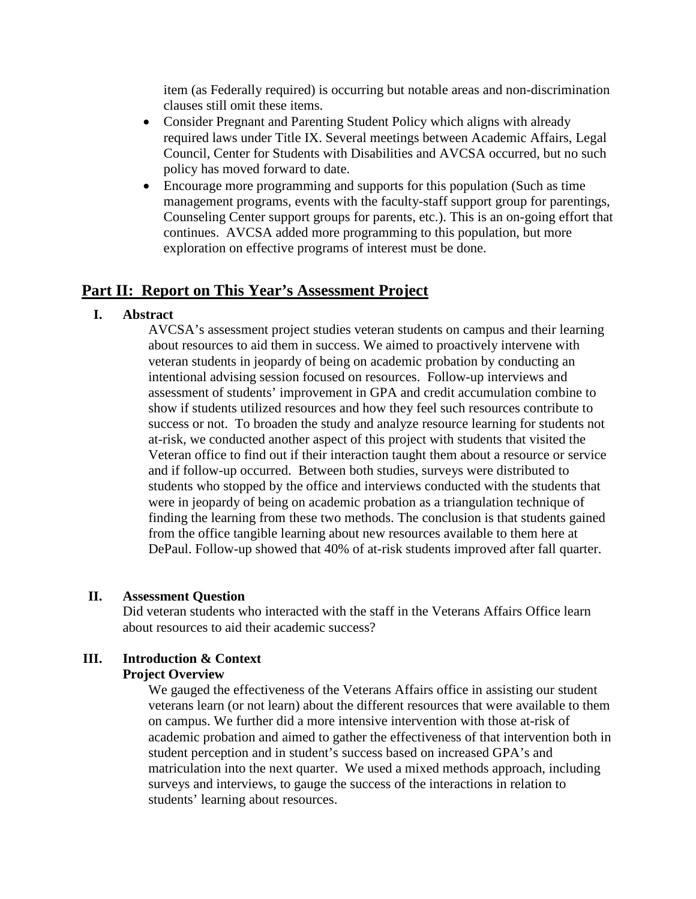item (as Federally required) is occurring but notable areas and non-discrimination clauses still omit these items.

- Consider Pregnant and Parenting Student Policy which aligns with already required laws under Title IX. Several meetings between Academic Affairs, Legal Council, Center for Students with Disabilities and AVCSA occurred, but no such policy has moved forward to date.
- Encourage more programming and supports for this population (Such as time management programs, events with the faculty-staff support group for parentings, Counseling Center support groups for parents, etc.). This is an on-going effort that continues. AVCSA added more programming to this population, but more exploration on effective programs of interest must be done.

## **Part II: Report on This Year's Assessment Project**

## **I. Abstract**

AVCSA's assessment project studies veteran students on campus and their learning about resources to aid them in success. We aimed to proactively intervene with veteran students in jeopardy of being on academic probation by conducting an intentional advising session focused on resources. Follow-up interviews and assessment of students' improvement in GPA and credit accumulation combine to show if students utilized resources and how they feel such resources contribute to success or not. To broaden the study and analyze resource learning for students not at-risk, we conducted another aspect of this project with students that visited the Veteran office to find out if their interaction taught them about a resource or service and if follow-up occurred. Between both studies, surveys were distributed to students who stopped by the office and interviews conducted with the students that were in jeopardy of being on academic probation as a triangulation technique of finding the learning from these two methods. The conclusion is that students gained from the office tangible learning about new resources available to them here at DePaul. Follow-up showed that 40% of at-risk students improved after fall quarter.

### **II. Assessment Question**

Did veteran students who interacted with the staff in the Veterans Affairs Office learn about resources to aid their academic success?

## **III. Introduction & Context**

### **Project Overview**

We gauged the effectiveness of the Veterans Affairs office in assisting our student veterans learn (or not learn) about the different resources that were available to them on campus. We further did a more intensive intervention with those at-risk of academic probation and aimed to gather the effectiveness of that intervention both in student perception and in student's success based on increased GPA's and matriculation into the next quarter. We used a mixed methods approach, including surveys and interviews, to gauge the success of the interactions in relation to students' learning about resources.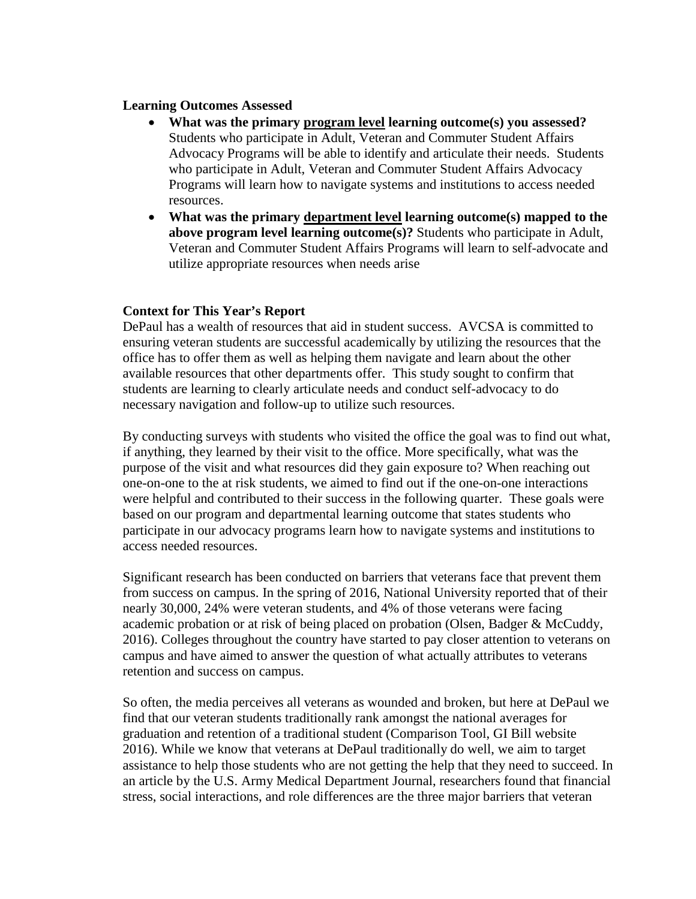#### **Learning Outcomes Assessed**

- **What was the primary program level learning outcome(s) you assessed?** Students who participate in Adult, Veteran and Commuter Student Affairs Advocacy Programs will be able to identify and articulate their needs. Students who participate in Adult, Veteran and Commuter Student Affairs Advocacy Programs will learn how to navigate systems and institutions to access needed resources.
- **What was the primary department level learning outcome(s) mapped to the above program level learning outcome(s)?** Students who participate in Adult, Veteran and Commuter Student Affairs Programs will learn to self-advocate and utilize appropriate resources when needs arise

### **Context for This Year's Report**

DePaul has a wealth of resources that aid in student success. AVCSA is committed to ensuring veteran students are successful academically by utilizing the resources that the office has to offer them as well as helping them navigate and learn about the other available resources that other departments offer. This study sought to confirm that students are learning to clearly articulate needs and conduct self-advocacy to do necessary navigation and follow-up to utilize such resources.

By conducting surveys with students who visited the office the goal was to find out what, if anything, they learned by their visit to the office. More specifically, what was the purpose of the visit and what resources did they gain exposure to? When reaching out one-on-one to the at risk students, we aimed to find out if the one-on-one interactions were helpful and contributed to their success in the following quarter. These goals were based on our program and departmental learning outcome that states students who participate in our advocacy programs learn how to navigate systems and institutions to access needed resources.

Significant research has been conducted on barriers that veterans face that prevent them from success on campus. In the spring of 2016, National University reported that of their nearly 30,000, 24% were veteran students, and 4% of those veterans were facing academic probation or at risk of being placed on probation (Olsen, Badger & McCuddy, 2016). Colleges throughout the country have started to pay closer attention to veterans on campus and have aimed to answer the question of what actually attributes to veterans retention and success on campus.

So often, the media perceives all veterans as wounded and broken, but here at DePaul we find that our veteran students traditionally rank amongst the national averages for graduation and retention of a traditional student (Comparison Tool, GI Bill website 2016). While we know that veterans at DePaul traditionally do well, we aim to target assistance to help those students who are not getting the help that they need to succeed. In an article by the U.S. Army Medical Department Journal, researchers found that financial stress, social interactions, and role differences are the three major barriers that veteran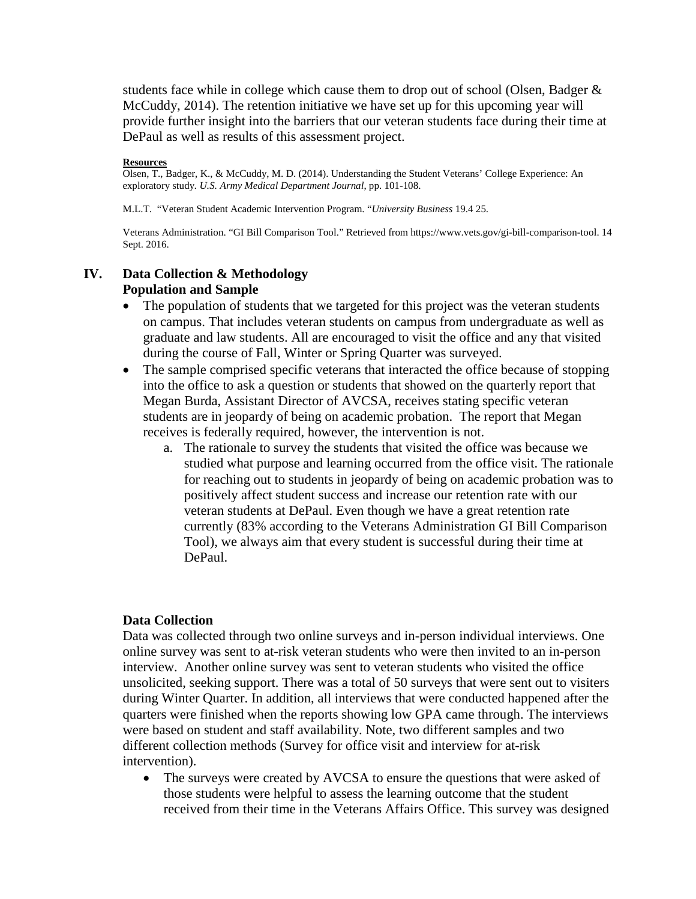students face while in college which cause them to drop out of school (Olsen, Badger  $\&$ McCuddy, 2014). The retention initiative we have set up for this upcoming year will provide further insight into the barriers that our veteran students face during their time at DePaul as well as results of this assessment project.

#### **Resources**

Olsen, T., Badger, K., & McCuddy, M. D. (2014). Understanding the Student Veterans' College Experience: An exploratory study*. U.S. Army Medical Department Journal*, pp. 101-108.

M.L.T. "Veteran Student Academic Intervention Program. "*University Business* 19.4 25.

Veterans Administration. "GI Bill Comparison Tool." Retrieved from https://www.vets.gov/gi-bill-comparison-tool. 14 Sept. 2016.

### **IV. Data Collection & Methodology Population and Sample**

- The population of students that we targeted for this project was the veteran students on campus. That includes veteran students on campus from undergraduate as well as graduate and law students. All are encouraged to visit the office and any that visited during the course of Fall, Winter or Spring Quarter was surveyed.
- The sample comprised specific veterans that interacted the office because of stopping into the office to ask a question or students that showed on the quarterly report that Megan Burda, Assistant Director of AVCSA, receives stating specific veteran students are in jeopardy of being on academic probation. The report that Megan receives is federally required, however, the intervention is not.
	- a. The rationale to survey the students that visited the office was because we studied what purpose and learning occurred from the office visit. The rationale for reaching out to students in jeopardy of being on academic probation was to positively affect student success and increase our retention rate with our veteran students at DePaul. Even though we have a great retention rate currently (83% according to the Veterans Administration GI Bill Comparison Tool), we always aim that every student is successful during their time at DePaul.

#### **Data Collection**

Data was collected through two online surveys and in-person individual interviews. One online survey was sent to at-risk veteran students who were then invited to an in-person interview. Another online survey was sent to veteran students who visited the office unsolicited, seeking support. There was a total of 50 surveys that were sent out to visiters during Winter Quarter. In addition, all interviews that were conducted happened after the quarters were finished when the reports showing low GPA came through. The interviews were based on student and staff availability. Note, two different samples and two different collection methods (Survey for office visit and interview for at-risk intervention).

• The surveys were created by AVCSA to ensure the questions that were asked of those students were helpful to assess the learning outcome that the student received from their time in the Veterans Affairs Office. This survey was designed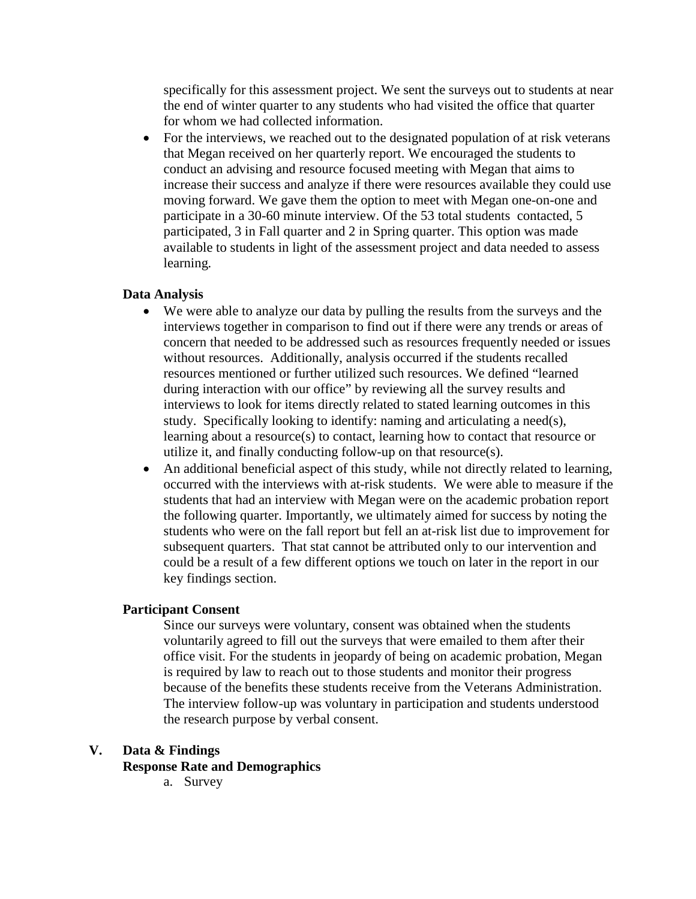specifically for this assessment project. We sent the surveys out to students at near the end of winter quarter to any students who had visited the office that quarter for whom we had collected information.

• For the interviews, we reached out to the designated population of at risk veterans that Megan received on her quarterly report. We encouraged the students to conduct an advising and resource focused meeting with Megan that aims to increase their success and analyze if there were resources available they could use moving forward. We gave them the option to meet with Megan one-on-one and participate in a 30-60 minute interview. Of the 53 total students contacted, 5 participated, 3 in Fall quarter and 2 in Spring quarter. This option was made available to students in light of the assessment project and data needed to assess learning*.* 

#### **Data Analysis**

- We were able to analyze our data by pulling the results from the surveys and the interviews together in comparison to find out if there were any trends or areas of concern that needed to be addressed such as resources frequently needed or issues without resources. Additionally, analysis occurred if the students recalled resources mentioned or further utilized such resources. We defined "learned during interaction with our office" by reviewing all the survey results and interviews to look for items directly related to stated learning outcomes in this study. Specifically looking to identify: naming and articulating a need(s), learning about a resource(s) to contact, learning how to contact that resource or utilize it, and finally conducting follow-up on that resource(s).
- An additional beneficial aspect of this study, while not directly related to learning, occurred with the interviews with at-risk students. We were able to measure if the students that had an interview with Megan were on the academic probation report the following quarter. Importantly, we ultimately aimed for success by noting the students who were on the fall report but fell an at-risk list due to improvement for subsequent quarters. That stat cannot be attributed only to our intervention and could be a result of a few different options we touch on later in the report in our key findings section.

### **Participant Consent**

Since our surveys were voluntary, consent was obtained when the students voluntarily agreed to fill out the surveys that were emailed to them after their office visit. For the students in jeopardy of being on academic probation, Megan is required by law to reach out to those students and monitor their progress because of the benefits these students receive from the Veterans Administration. The interview follow-up was voluntary in participation and students understood the research purpose by verbal consent.

#### **V. Data & Findings**

**Response Rate and Demographics**

a. Survey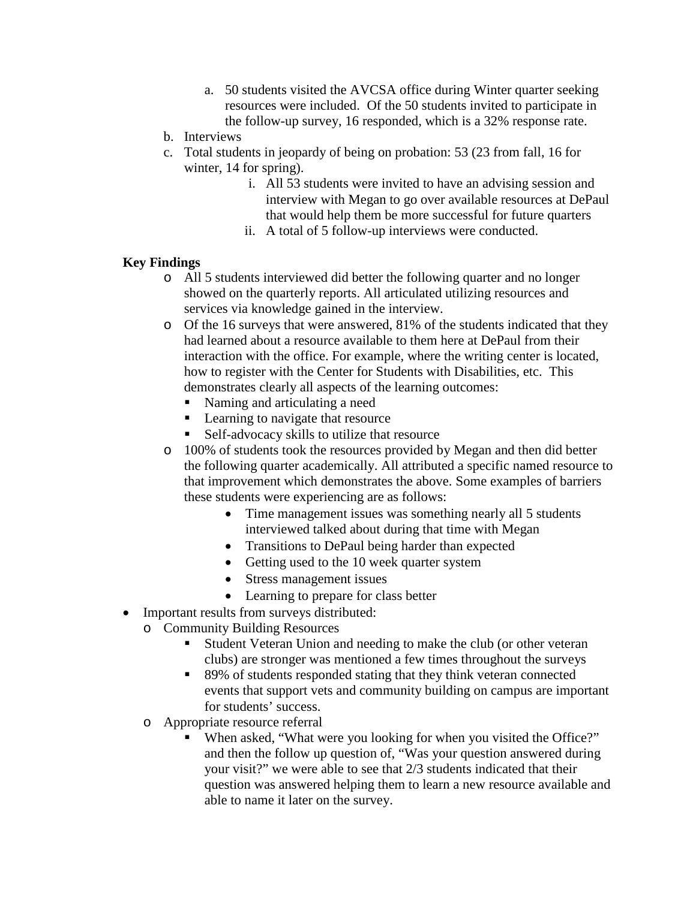- a. 50 students visited the AVCSA office during Winter quarter seeking resources were included. Of the 50 students invited to participate in the follow-up survey, 16 responded, which is a 32% response rate.
- b. Interviews
- c. Total students in jeopardy of being on probation: 53 (23 from fall, 16 for winter, 14 for spring).
	- i. All 53 students were invited to have an advising session and interview with Megan to go over available resources at DePaul that would help them be more successful for future quarters
	- ii. A total of 5 follow-up interviews were conducted.

## **Key Findings**

- o All 5 students interviewed did better the following quarter and no longer showed on the quarterly reports. All articulated utilizing resources and services via knowledge gained in the interview.
- o Of the 16 surveys that were answered, 81% of the students indicated that they had learned about a resource available to them here at DePaul from their interaction with the office. For example, where the writing center is located, how to register with the Center for Students with Disabilities, etc. This demonstrates clearly all aspects of the learning outcomes:
	- Naming and articulating a need
	- **Learning to navigate that resource**
	- Self-advocacy skills to utilize that resource
- o 100% of students took the resources provided by Megan and then did better the following quarter academically. All attributed a specific named resource to that improvement which demonstrates the above. Some examples of barriers these students were experiencing are as follows:
	- Time management issues was something nearly all 5 students interviewed talked about during that time with Megan
	- Transitions to DePaul being harder than expected
	- Getting used to the 10 week quarter system
	- Stress management issues
	- Learning to prepare for class better
- Important results from surveys distributed:
	- o Community Building Resources
		- Student Veteran Union and needing to make the club (or other veteran clubs) are stronger was mentioned a few times throughout the surveys
		- 89% of students responded stating that they think veteran connected events that support vets and community building on campus are important for students' success.
	- o Appropriate resource referral
		- When asked, "What were you looking for when you visited the Office?" and then the follow up question of, "Was your question answered during your visit?" we were able to see that 2/3 students indicated that their question was answered helping them to learn a new resource available and able to name it later on the survey.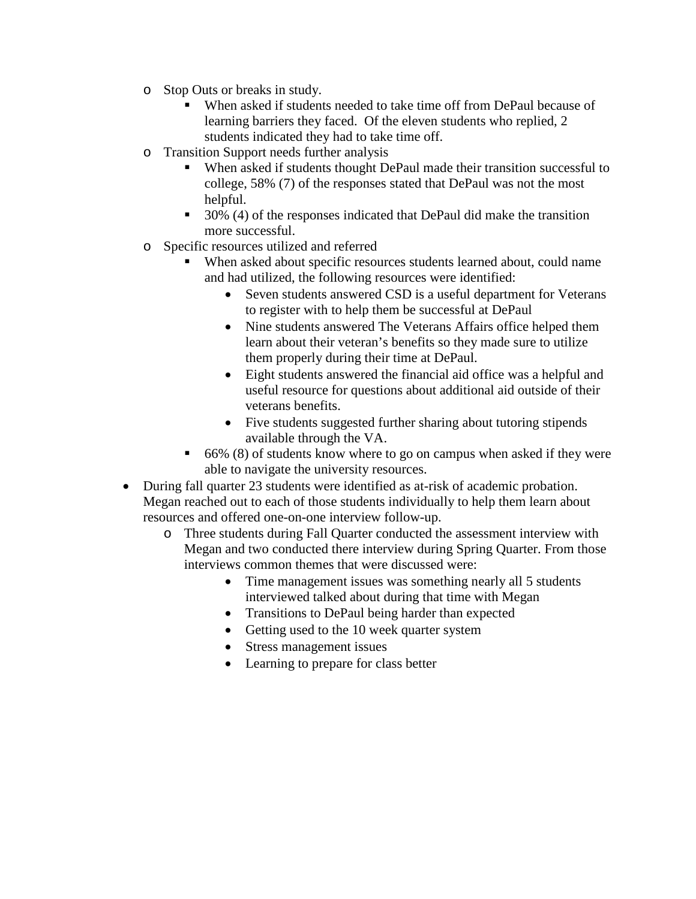- o Stop Outs or breaks in study.
	- When asked if students needed to take time off from DePaul because of learning barriers they faced. Of the eleven students who replied, 2 students indicated they had to take time off.
- o Transition Support needs further analysis
	- When asked if students thought DePaul made their transition successful to college, 58% (7) of the responses stated that DePaul was not the most helpful.
	- $\blacksquare$  30% (4) of the responses indicated that DePaul did make the transition more successful.
- o Specific resources utilized and referred
	- When asked about specific resources students learned about, could name and had utilized, the following resources were identified:
		- Seven students answered CSD is a useful department for Veterans to register with to help them be successful at DePaul
		- Nine students answered The Veterans Affairs office helped them learn about their veteran's benefits so they made sure to utilize them properly during their time at DePaul.
		- Eight students answered the financial aid office was a helpful and useful resource for questions about additional aid outside of their veterans benefits.
		- Five students suggested further sharing about tutoring stipends available through the VA.
	- $\bullet$  66% (8) of students know where to go on campus when asked if they were able to navigate the university resources.
- During fall quarter 23 students were identified as at-risk of academic probation. Megan reached out to each of those students individually to help them learn about resources and offered one-on-one interview follow-up.
	- o Three students during Fall Quarter conducted the assessment interview with Megan and two conducted there interview during Spring Quarter. From those interviews common themes that were discussed were:
		- Time management issues was something nearly all 5 students interviewed talked about during that time with Megan
		- Transitions to DePaul being harder than expected
		- Getting used to the 10 week quarter system
		- Stress management issues
		- Learning to prepare for class better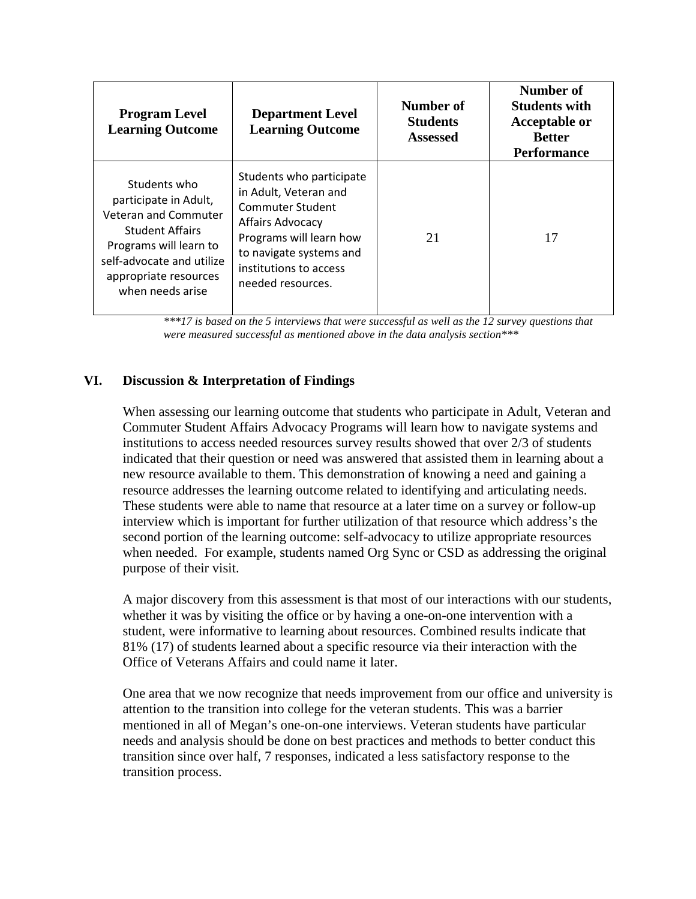| <b>Program Level</b><br><b>Learning Outcome</b>                                                                                                                                                    | <b>Department Level</b><br><b>Learning Outcome</b>                                                                                                                                                    | Number of<br><b>Students</b><br><b>Assessed</b> | Number of<br><b>Students with</b><br><b>Acceptable or</b><br><b>Better</b><br><b>Performance</b> |
|----------------------------------------------------------------------------------------------------------------------------------------------------------------------------------------------------|-------------------------------------------------------------------------------------------------------------------------------------------------------------------------------------------------------|-------------------------------------------------|--------------------------------------------------------------------------------------------------|
| Students who<br>participate in Adult,<br><b>Veteran and Commuter</b><br><b>Student Affairs</b><br>Programs will learn to<br>self-advocate and utilize<br>appropriate resources<br>when needs arise | Students who participate<br>in Adult, Veteran and<br>Commuter Student<br><b>Affairs Advocacy</b><br>Programs will learn how<br>to navigate systems and<br>institutions to access<br>needed resources. | 21                                              | 17                                                                                               |

*\*\*\*17 is based on the 5 interviews that were successful as well as the 12 survey questions that were measured successful as mentioned above in the data analysis section\*\*\**

## **VI. Discussion & Interpretation of Findings**

When assessing our learning outcome that students who participate in Adult, Veteran and Commuter Student Affairs Advocacy Programs will learn how to navigate systems and institutions to access needed resources survey results showed that over 2/3 of students indicated that their question or need was answered that assisted them in learning about a new resource available to them. This demonstration of knowing a need and gaining a resource addresses the learning outcome related to identifying and articulating needs. These students were able to name that resource at a later time on a survey or follow-up interview which is important for further utilization of that resource which address's the second portion of the learning outcome: self-advocacy to utilize appropriate resources when needed. For example, students named Org Sync or CSD as addressing the original purpose of their visit.

A major discovery from this assessment is that most of our interactions with our students, whether it was by visiting the office or by having a one-on-one intervention with a student, were informative to learning about resources. Combined results indicate that 81% (17) of students learned about a specific resource via their interaction with the Office of Veterans Affairs and could name it later.

One area that we now recognize that needs improvement from our office and university is attention to the transition into college for the veteran students. This was a barrier mentioned in all of Megan's one-on-one interviews. Veteran students have particular needs and analysis should be done on best practices and methods to better conduct this transition since over half, 7 responses, indicated a less satisfactory response to the transition process.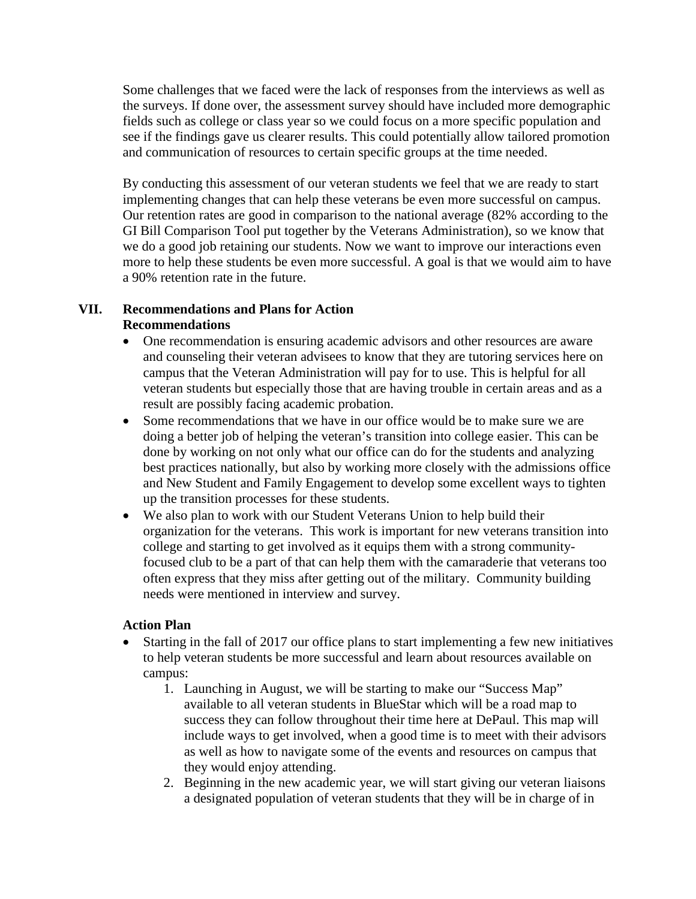Some challenges that we faced were the lack of responses from the interviews as well as the surveys. If done over, the assessment survey should have included more demographic fields such as college or class year so we could focus on a more specific population and see if the findings gave us clearer results. This could potentially allow tailored promotion and communication of resources to certain specific groups at the time needed.

By conducting this assessment of our veteran students we feel that we are ready to start implementing changes that can help these veterans be even more successful on campus. Our retention rates are good in comparison to the national average (82% according to the GI Bill Comparison Tool put together by the Veterans Administration), so we know that we do a good job retaining our students. Now we want to improve our interactions even more to help these students be even more successful. A goal is that we would aim to have a 90% retention rate in the future.

## **VII. Recommendations and Plans for Action Recommendations**

- One recommendation is ensuring academic advisors and other resources are aware and counseling their veteran advisees to know that they are tutoring services here on campus that the Veteran Administration will pay for to use. This is helpful for all veteran students but especially those that are having trouble in certain areas and as a result are possibly facing academic probation.
- Some recommendations that we have in our office would be to make sure we are doing a better job of helping the veteran's transition into college easier. This can be done by working on not only what our office can do for the students and analyzing best practices nationally, but also by working more closely with the admissions office and New Student and Family Engagement to develop some excellent ways to tighten up the transition processes for these students.
- We also plan to work with our Student Veterans Union to help build their organization for the veterans. This work is important for new veterans transition into college and starting to get involved as it equips them with a strong communityfocused club to be a part of that can help them with the camaraderie that veterans too often express that they miss after getting out of the military. Community building needs were mentioned in interview and survey.

### **Action Plan**

- Starting in the fall of 2017 our office plans to start implementing a few new initiatives to help veteran students be more successful and learn about resources available on campus:
	- 1. Launching in August, we will be starting to make our "Success Map" available to all veteran students in BlueStar which will be a road map to success they can follow throughout their time here at DePaul. This map will include ways to get involved, when a good time is to meet with their advisors as well as how to navigate some of the events and resources on campus that they would enjoy attending.
	- 2. Beginning in the new academic year, we will start giving our veteran liaisons a designated population of veteran students that they will be in charge of in